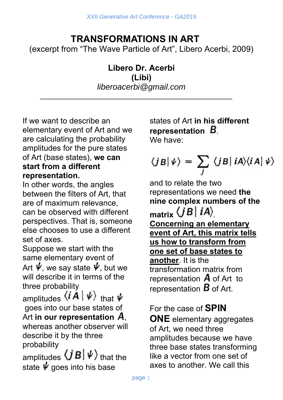# **TRANSFORMATIONS IN ART**

(excerpt from "The Wave Particle of Art", Libero Acerbi, 2009)

#### **Libero Dr. Acerbi (Libi)** *liberoacerbi@gmail.com*

\_\_\_\_\_\_\_\_\_\_\_\_\_\_\_\_\_\_\_\_\_\_\_\_\_\_\_\_\_\_\_\_\_\_\_\_\_\_\_\_\_\_\_\_\_\_\_\_\_\_

If we want to describe an elementary event of Art and we are calculating the probability amplitudes for the pure states of Art (base states), **we can start from a different representation.**

In other words, the angles between the filters of Art, that are of maximum relevance, can be observed with different perspectives. That is, someone else chooses to use a different set of axes.

Suppose we start with the same elementary event of Art  $\dot{\psi}$ , we say state  $\dot{\psi}$ , but we will describe it in terms of the three probability

amplitudes  $\langle i \mathbf{A} | \psi \rangle$  that  $\psi$  goes into our base states of Art **in our representation A**, whereas another observer will describe it by the three probability

amplitudes  $\langle jB|\,\psi\rangle$  that the state  $\psi$  goes into his base

states of Art **in his different representation** . We have:

$$
\langle jB|\,\psi\rangle = \sum_j \langle jB|\,iA\rangle\langle iA|\,\psi\rangle
$$

and to relate the two representations we need **the nine complex numbers of the**  matrix  $\langle jB|iA\rangle$ **Concerning an elementary event of Art, this matrix tells us how to transform from one set of base states to another**. It is the transformation matrix from representation  $\overline{A}$  of Art to representation  $\bm{B}$  of Art.

### For the case of **SPIN**

**ONE** elementary aggregates of Art, we need three amplitudes because we have three base states transforming like a vector from one set of axes to another. We call this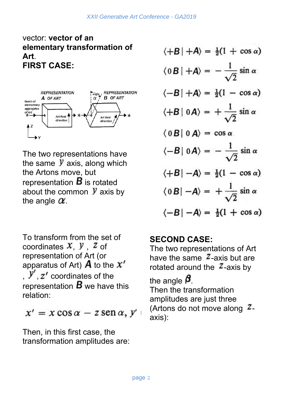vector: **vector of an elementary transformation of Art**. **FIRST CASE:**



The two representations have the same  $\mathcal Y$  axis, along which the Artons move, but representation  $\bm{B}$  is rotated about the common  $\mathcal Y$  axis by the angle  $\alpha$ .

To transform from the set of coordinates  $x, y, z$  of representation of Art (or apparatus of Art)  $\bm{A}$  to the  $\bm{x'}$  $, y'$ ,  $z'$  coordinates of the representation  $\bm{B}$  we have this relation:

 $x' = x \cos \alpha - z \sin \alpha, y'$ 

Then, in this first case, the transformation amplitudes are:

$$
\langle +B | +A \rangle = \frac{1}{2}(1 + \cos \alpha)
$$
  
\n
$$
\langle 0|B | +A \rangle = -\frac{1}{\sqrt{2}}\sin \alpha
$$
  
\n
$$
\langle -B | +A \rangle = \frac{1}{2}(1 - \cos \alpha)
$$
  
\n
$$
\langle +B | 0A \rangle = +\frac{1}{\sqrt{2}}\sin \alpha
$$
  
\n
$$
\langle 0|B | 0A \rangle = \cos \alpha
$$
  
\n
$$
\langle -B | 0A \rangle = -\frac{1}{\sqrt{2}}\sin \alpha
$$
  
\n
$$
\langle +B | -A \rangle = \frac{1}{2}(1 - \cos \alpha)
$$
  
\n
$$
\langle 0|B | -A \rangle = +\frac{1}{\sqrt{2}}\sin \alpha
$$
  
\n
$$
\langle -B | -A \rangle = \frac{1}{2}(1 + \cos \alpha)
$$

## **SECOND CASE:**

The two representations of Art have the same  $\overline{z}$ -axis but are rotated around the  $\overline{z}$ -axis by

the angle  $\beta$ Then the transformation amplitudes are just three (Artons do not move along  $Z$ axis):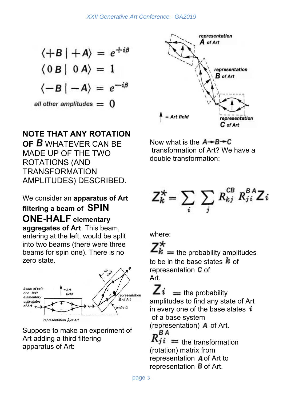$$
\langle +B | +A \rangle = e^{+i\beta}
$$
  
\n
$$
\langle 0 B | 0 A \rangle = 1
$$
  
\n
$$
\langle -B | -A \rangle = e^{-i\beta}
$$
  
\nall other amplitudes = 0

### **NOTE THAT ANY ROTATION**

**OF** WHATEVER CAN BE MADE UP OF THE TWO ROTATIONS (AND TRANSFORMATION AMPLITUDES) DESCRIBED.

#### We consider an **apparatus of Art**

# **filtering a beam of SPIN ONE-HALF elementary**

**aggregates of Art**. This beam, entering at the left, would be split into two beams (there were three beams for spin one). There is no zero state.



Suppose to make an experiment of Art adding a third filtering apparatus of Art:



Now what is the  $A \rightarrow B \rightarrow C$  transformation of Art? We have a double transformation:

$$
Z_k^* = \sum_i \sum_j R_{kj}^{CB} R_{ji}^{BA} Z_i
$$

where:

 $k =$  the probability amplitudes to be in the base states  $\boldsymbol{k}$  of representation  **of** Art.

 $=$  the probability amplitudes to find any state of Art in every one of the base states  $\boldsymbol{i}$  of a base system (representation)  $\overline{A}$  of Art. ΒA  $tji =$  the transformation (rotation) matrix from

representation A of Art to representation  $\bm{B}$  of Art.